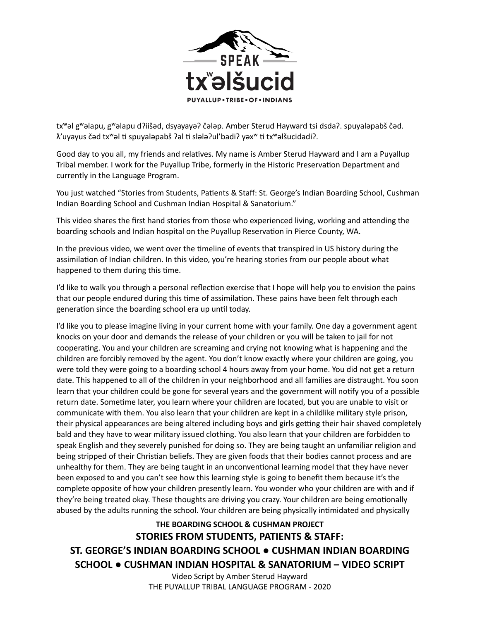

txʷəl gʷəlapu, gʷəlapu dʔiišəd, dsyayayəʔ čələp. Amber Sterud Hayward tsi dsdaʔ. spuyaləpabš čəd.  $\lambda'$ uyayus čəd tx<sup>w</sup>əl ti spuyaləpabš ?al ti slələ?ul'badi? yəx<sup>w</sup> ti txwəlšucidadi?.

Good day to you all, my friends and relatives. My name is Amber Sterud Hayward and I am a Puyallup Tribal member. I work for the Puyallup Tribe, formerly in the Historic Preservation Department and currently in the Language Program.

You just watched "Stories from Students, Patients & Staff: St. George's Indian Boarding School, Cushman Indian Boarding School and Cushman Indian Hospital & Sanatorium."

This video shares the first hand stories from those who experienced living, working and attending the boarding schools and Indian hospital on the Puyallup Reservation in Pierce County, WA.

In the previous video, we went over the timeline of events that transpired in US history during the assimilation of Indian children. In this video, you're hearing stories from our people about what happened to them during this time.

I'd like to walk you through a personal reflection exercise that I hope will help you to envision the pains that our people endured during this time of assimilation. These pains have been felt through each generation since the boarding school era up until today.

I'd like you to please imagine living in your current home with your family. One day a government agent knocks on your door and demands the release of your children or you will be taken to jail for not cooperating. You and your children are screaming and crying not knowing what is happening and the children are forcibly removed by the agent. You don't know exactly where your children are going, you were told they were going to a boarding school 4 hours away from your home. You did not get a return date. This happened to all of the children in your neighborhood and all families are distraught. You soon learn that your children could be gone for several years and the government will notify you of a possible return date. Sometime later, you learn where your children are located, but you are unable to visit or communicate with them. You also learn that your children are kept in a childlike military style prison, their physical appearances are being altered including boys and girls getting their hair shaved completely bald and they have to wear military issued clothing. You also learn that your children are forbidden to speak English and they severely punished for doing so. They are being taught an unfamiliar religion and being stripped of their Christian beliefs. They are given foods that their bodies cannot process and are unhealthy for them. They are being taught in an unconventional learning model that they have never been exposed to and you can't see how this learning style is going to benefit them because it's the complete opposite of how your children presently learn. You wonder who your children are with and if they're being treated okay. These thoughts are driving you crazy. Your children are being emotionally abused by the adults running the school. Your children are being physically intimidated and physically

### **THE BOARDING SCHOOL & CUSHMAN PROJECT**

### **STORIES FROM STUDENTS, PATIENTS & STAFF:**

**ST. GEORGE'S INDIAN BOARDING SCHOOL ● CUSHMAN INDIAN BOARDING SCHOOL ● CUSHMAN INDIAN HOSPITAL & SANATORIUM – VIDEO SCRIPT**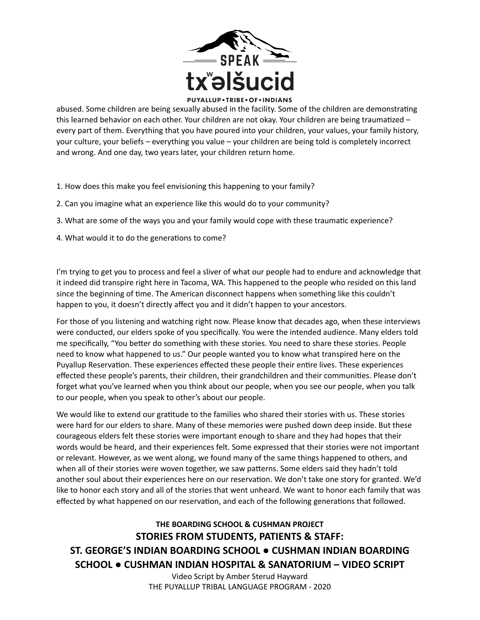

abused. Some children are being sexually abused in the facility. Some of the children are demonstrating this learned behavior on each other. Your children are not okay. Your children are being traumatized  $$ every part of them. Everything that you have poured into your children, your values, your family history, your culture, your beliefs – everything you value – your children are being told is completely incorrect and wrong. And one day, two years later, your children return home.

- 1. How does this make you feel envisioning this happening to your family?
- 2. Can you imagine what an experience like this would do to your community?
- 3. What are some of the ways you and your family would cope with these traumatic experience?
- 4. What would it to do the generations to come?

I'm trying to get you to process and feel a sliver of what our people had to endure and acknowledge that it indeed did transpire right here in Tacoma, WA. This happened to the people who resided on this land since the beginning of time. The American disconnect happens when something like this couldn't happen to you, it doesn't directly affect you and it didn't happen to your ancestors.

For those of you listening and watching right now. Please know that decades ago, when these interviews were conducted, our elders spoke of you specifically. You were the intended audience. Many elders told me specifically, "You better do something with these stories. You need to share these stories. People need to know what happened to us." Our people wanted you to know what transpired here on the Puyallup Reservation. These experiences effected these people their entire lives. These experiences effected these people's parents, their children, their grandchildren and their communities. Please don't forget what you've learned when you think about our people, when you see our people, when you talk to our people, when you speak to other's about our people.

We would like to extend our gratitude to the families who shared their stories with us. These stories were hard for our elders to share. Many of these memories were pushed down deep inside. But these courageous elders felt these stories were important enough to share and they had hopes that their words would be heard, and their experiences felt. Some expressed that their stories were not important or relevant. However, as we went along, we found many of the same things happened to others, and when all of their stories were woven together, we saw patterns. Some elders said they hadn't told another soul about their experiences here on our reservation. We don't take one story for granted. We'd like to honor each story and all of the stories that went unheard. We want to honor each family that was effected by what happened on our reservation, and each of the following generations that followed.

**THE BOARDING SCHOOL & CUSHMAN PROJECT STORIES FROM STUDENTS, PATIENTS & STAFF: ST. GEORGE'S INDIAN BOARDING SCHOOL ● CUSHMAN INDIAN BOARDING SCHOOL ● CUSHMAN INDIAN HOSPITAL & SANATORIUM – VIDEO SCRIPT**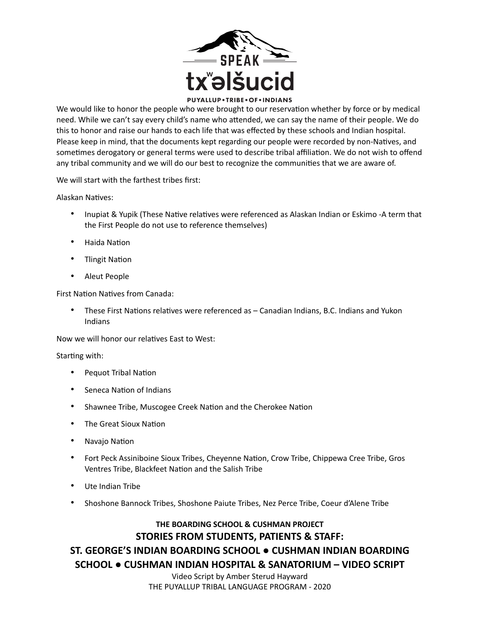

We would like to honor the people who were brought to our reservation whether by force or by medical need. While we can't say every child's name who attended, we can say the name of their people. We do this to honor and raise our hands to each life that was effected by these schools and Indian hospital. Please keep in mind, that the documents kept regarding our people were recorded by non-Natives, and sometimes derogatory or general terms were used to describe tribal affiliation. We do not wish to offend any tribal community and we will do our best to recognize the communities that we are aware of.

We will start with the farthest tribes first:

Alaskan Natives:

- Inupiat & Yupik (These Native relatives were referenced as Alaskan Indian or Eskimo -A term that the First People do not use to reference themselves)
- Haida Nation
- **Tlingit Nation**
- Aleut People

First Nation Natives from Canada:

These First Nations relatives were referenced as – Canadian Indians, B.C. Indians and Yukon Indians

Now we will honor our relatives East to West:

#### Starting with:

- Pequot Tribal Nation
- Seneca Nation of Indians
- Shawnee Tribe, Muscogee Creek Nation and the Cherokee Nation
- The Great Sioux Nation
- Navajo Nation
- Fort Peck Assiniboine Sioux Tribes, Cheyenne Nation, Crow Tribe, Chippewa Cree Tribe, Gros Ventres Tribe, Blackfeet Nation and the Salish Tribe
- Ute Indian Tribe
- Shoshone Bannock Tribes, Shoshone Paiute Tribes, Nez Perce Tribe, Coeur d'Alene Tribe

### **THE BOARDING SCHOOL & CUSHMAN PROJECT STORIES FROM STUDENTS, PATIENTS & STAFF:**

## **ST. GEORGE'S INDIAN BOARDING SCHOOL ● CUSHMAN INDIAN BOARDING SCHOOL ● CUSHMAN INDIAN HOSPITAL & SANATORIUM – VIDEO SCRIPT**